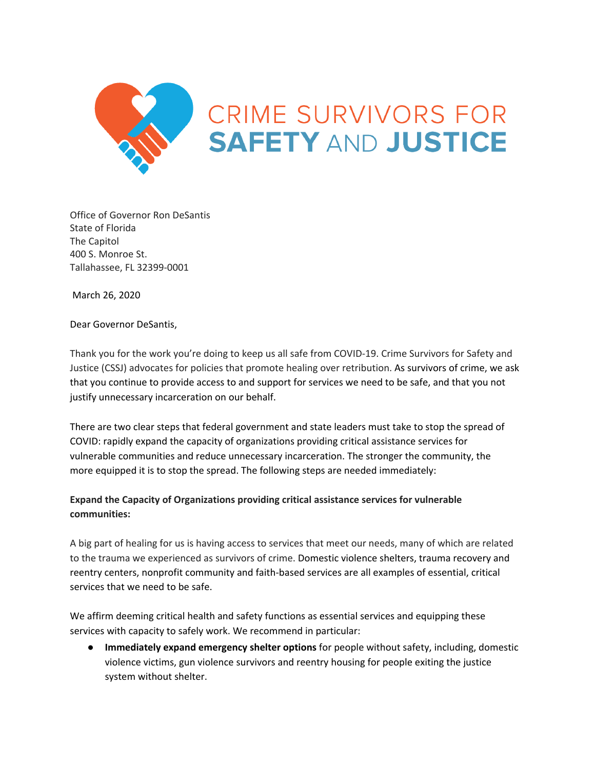

Office of Governor Ron DeSantis State of Florida The Capitol 400 S. Monroe St. Tallahassee, FL 32399-0001

March 26, 2020

Dear Governor DeSantis,

Thank you for the work you're doing to keep us all safe from COVID-19. Crime Survivors for Safety and Justice (CSSJ) advocates for policies that promote healing over retribution. As survivors of crime, we ask that you continue to provide access to and support for services we need to be safe, and that you not justify unnecessary incarceration on our behalf.

There are two clear steps that federal government and state leaders must take to stop the spread of COVID: rapidly expand the capacity of organizations providing critical assistance services for vulnerable communities and reduce unnecessary incarceration. The stronger the community, the more equipped it is to stop the spread. The following steps are needed immediately:

## **Expand the Capacity of Organizations providing critical assistance services for vulnerable communities:**

A big part of healing for us is having access to services that meet our needs, many of which are related to the trauma we experienced as survivors of crime. Domestic violence shelters, trauma recovery and reentry centers, nonprofit community and faith-based services are all examples of essential, critical services that we need to be safe.

We affirm deeming critical health and safety functions as essential services and equipping these services with capacity to safely work. We recommend in particular:

● **Immediately expand emergency shelter options** for people without safety, including, domestic violence victims, gun violence survivors and reentry housing for people exiting the justice system without shelter.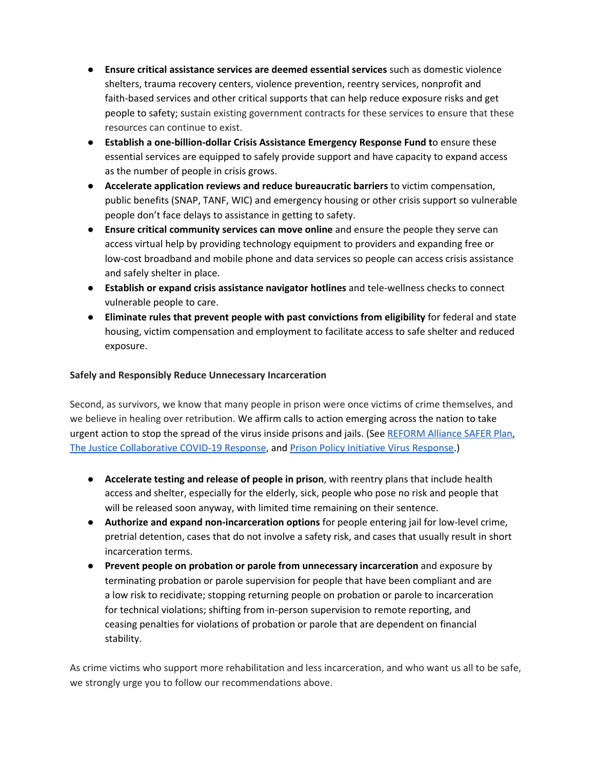- **Ensure critical assistance services are deemed essential services** such as domestic violence shelters, trauma recovery centers, violence prevention, reentry services, nonprofit and faith-based services and other critical supports that can help reduce exposure risks and get people to safety; sustain existing government contracts for these services to ensure that these resources can continue to exist.
- **Establish a one-billion-dollar Crisis Assistance Emergency Response Fund t**o ensure these essential services are equipped to safely provide support and have capacity to expand access as the number of people in crisis grows.
- **Accelerate application reviews and reduce bureaucratic barriers** to victim compensation, public benefits (SNAP, TANF, WIC) and emergency housing or other crisis support so vulnerable people don't face delays to assistance in getting to safety.
- **Ensure critical community services can move online** and ensure the people they serve can access virtual help by providing technology equipment to providers and expanding free or low-cost broadband and mobile phone and data services so people can access crisis assistance and safely shelter in place.
- **Establish or expand crisis assistance navigator hotlines** and tele-wellness checks to connect vulnerable people to care.
- **Eliminate rules that prevent people with past convictions from eligibility** for federal and state housing, victim compensation and employment to facilitate access to safe shelter and reduced exposure.

## **Safely and Responsibly Reduce Unnecessary Incarceration**

Second, as survivors, we know that many people in prison were once victims of crime themselves, and we believe in healing over retribution. We affirm calls to action emerging across the nation to take urgent action to stop the spread of the virus inside prisons and jails. (See [REFORM](https://medium.com/@reformalliance/the-safer-plan-preventing-the-spread-of-communicable-disease-in-the-criminal-justice-system-e9572b8babea) Alliance SAFER Plan, The Justice [Collaborative](https://thejusticecollaborative.com/covid19/) COVID-19 Response, and Prison Policy Initiative Virus [Response](https://www.prisonpolicy.org/virusresponse.html).)

- **Accelerate testing and release of people in prison**, with reentry plans that include health access and shelter, especially for the elderly, sick, people who pose no risk and people that will be released soon anyway, with limited time remaining on their sentence.
- **Authorize and expand non-incarceration options** for people entering jail for low-level crime, pretrial detention, cases that do not involve a safety risk, and cases that usually result in short incarceration terms.
- **Prevent people on probation or parole from unnecessary incarceration** and exposure by terminating probation or parole supervision for people that have been compliant and are a low risk to recidivate; stopping returning people on probation or parole to incarceration for technical violations; shifting from in-person supervision to remote reporting, and ceasing penalties for violations of probation or parole that are dependent on financial stability.

As crime victims who support more rehabilitation and less incarceration, and who want us all to be safe, we strongly urge you to follow our recommendations above.